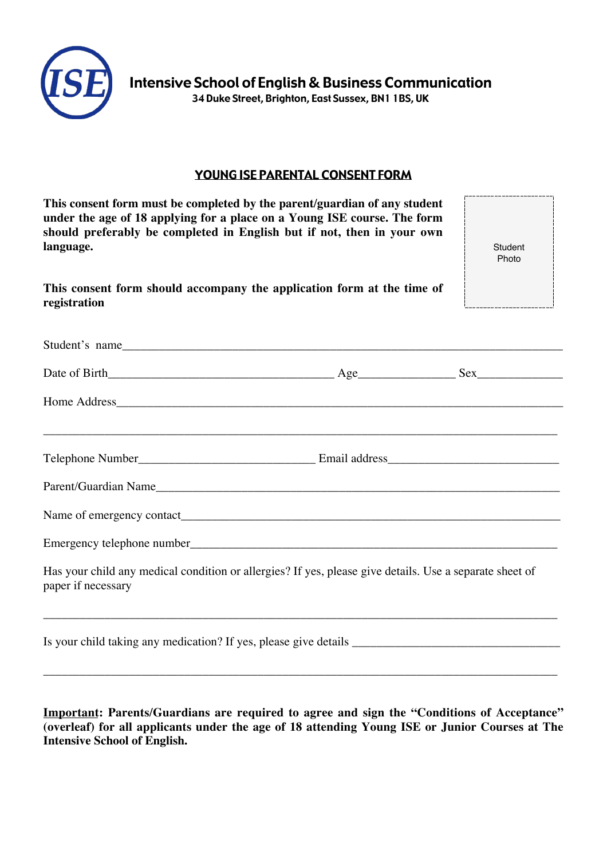

# YOUNG ISE PARENTAL CONSENT FORM

**This consent form must be completed by the parent/guardian of any student under the age of 18 applying for a place on a Young ISE course. The form should preferably be completed in English but if not, then in your own language.**

**This consent form should accompany the application form at the time of registration**

**Student** Photo

| Student's name                                                                                                                |  |
|-------------------------------------------------------------------------------------------------------------------------------|--|
|                                                                                                                               |  |
|                                                                                                                               |  |
|                                                                                                                               |  |
|                                                                                                                               |  |
|                                                                                                                               |  |
|                                                                                                                               |  |
| Has your child any medical condition or allergies? If yes, please give details. Use a separate sheet of<br>paper if necessary |  |
| Is your child taking any medication? If yes, please give details ___________________________________                          |  |

**Important: Parents/Guardians are required to agree and sign the "Conditions of Acceptance" (overleaf) for all applicants under the age of 18 attending Young ISE or Junior Courses at The Intensive School of English.**

\_\_\_\_\_\_\_\_\_\_\_\_\_\_\_\_\_\_\_\_\_\_\_\_\_\_\_\_\_\_\_\_\_\_\_\_\_\_\_\_\_\_\_\_\_\_\_\_\_\_\_\_\_\_\_\_\_\_\_\_\_\_\_\_\_\_\_\_\_\_\_\_\_\_\_\_\_\_\_\_\_\_\_\_